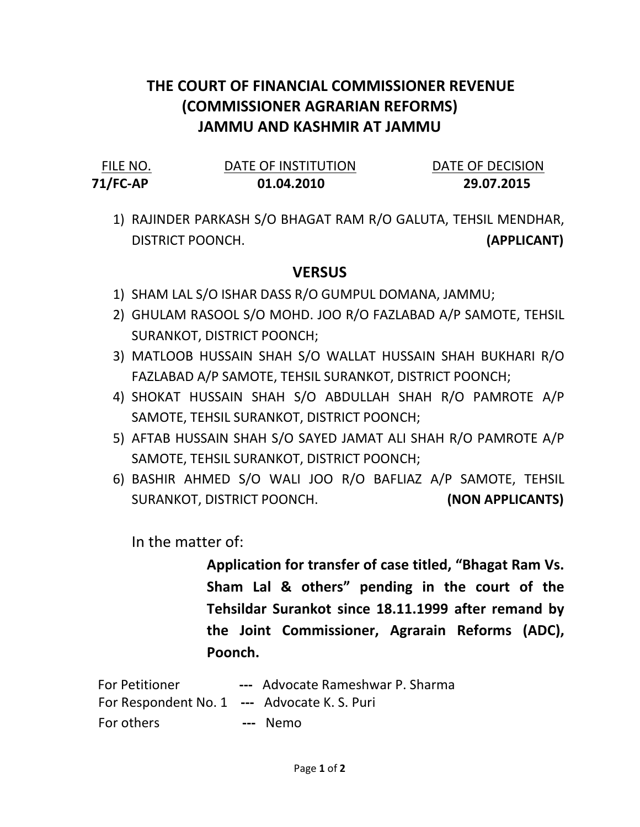## THE COURT OF FINANCIAL COMMISSIONER REVENUE (COMMISSIONER AGRARIAN REFORMS) JAMMU AND KASHMIR AT JAMMU

| FILE NO.    | DATE OF INSTITUTION | DATE OF DECISION |
|-------------|---------------------|------------------|
| $71$ /FC-AP | 01.04.2010          | 29.07.2015       |

1) RAJINDER PARKASH S/O BHAGAT RAM R/O GALUTA, TEHSIL MENDHAR, DISTRICT POONCH. (APPLICANT)

## **VERSUS**

- 1) SHAM LAL S/O ISHAR DASS R/O GUMPUL DOMANA, JAMMU;
- 2) GHULAM RASOOL S/O MOHD. JOO R/O FAZLABAD A/P SAMOTE, TEHSIL SURANKOT, DISTRICT POONCH;
- 3) MATLOOB HUSSAIN SHAH S/O WALLAT HUSSAIN SHAH BUKHARI R/O FAZLABAD A/P SAMOTE, TEHSIL SURANKOT, DISTRICT POONCH;
- 4) SHOKAT HUSSAIN SHAH S/O ABDULLAH SHAH R/O PAMROTE A/P SAMOTE, TEHSIL SURANKOT, DISTRICT POONCH;
- 5) AFTAB HUSSAIN SHAH S/O SAYED JAMAT ALI SHAH R/O PAMROTE A/P SAMOTE, TEHSIL SURANKOT, DISTRICT POONCH;
- 6) BASHIR AHMED S/O WALI JOO R/O BAFLIAZ A/P SAMOTE, TEHSIL SURANKOT, DISTRICT POONCH. (NON APPLICANTS)

In the matter of:

Application for transfer of case titled, "Bhagat Ram Vs. Sham Lal & others" pending in the court of the Tehsildar Surankot since 18.11.1999 after remand by the Joint Commissioner, Agrarain Reforms (ADC), Poonch.

For Petitioner --- Advocate Rameshwar P. Sharma For Respondent No. 1 --- Advocate K. S. Puri For others **---** Nemo